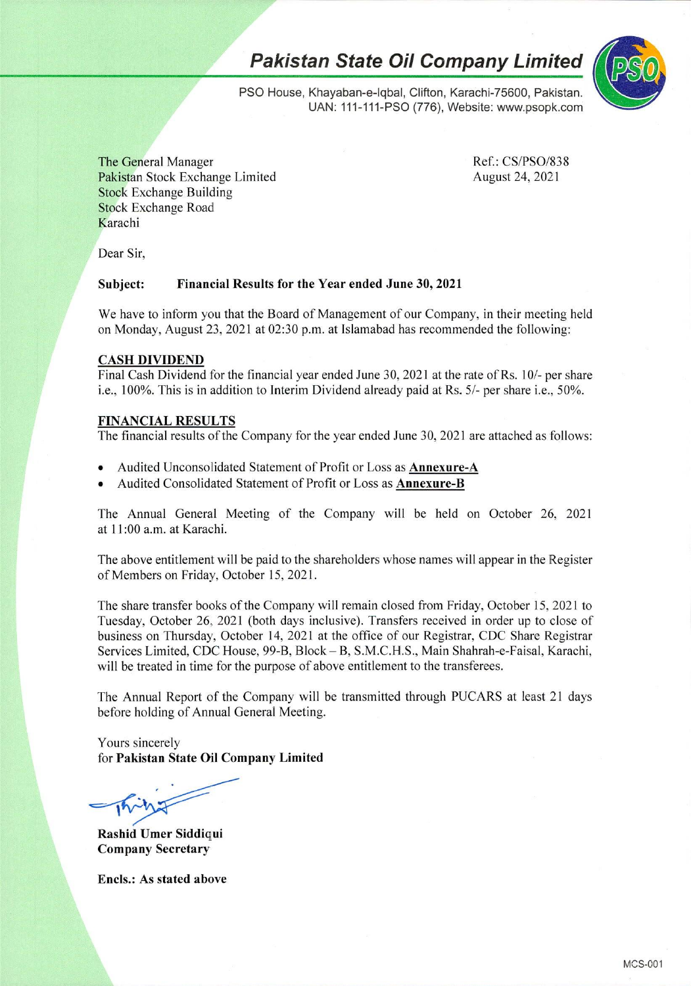*Pakistan State Oil Company Limited*



PSO House, Khayaban-e-lqbal, Clifton, Karachi-75600, Pakistan. UAN: 111-111-PSO (776), Website: [www.psopk.com](http://www.psopk.com)

The General Manager Pakistan Stock Exchange Limited Stock Exchange Building Stock Exchange Road Karachi

Ref.: CS/PSO/838 August 24, 2021

Dear Sir,

### **Subject: Financial Results for the Year ended June 30, 2021**

We have to inform you that the Board of Management of our Company, in their meeting held on Monday, August 23, 2021 at 02:30 p.m. at Islamabad has recommended the following:

#### **CASH DIVIDEND**

Final Cash Dividend for the financial year ended June 30, 2021 at the rate of Rs. 10/- per share i.e., 100%. This is in addition to Interim Dividend already paid at Rs. 5/- per share i.e., 50%.

### **FINANCIAL RESULTS**

The financial results of the Company for the year ended June 30, 2021 are attached as follows:

- Audited Unconsolidated Statement of Profit or Loss as **Annexure-A**
- Audited Consolidated Statement of Profit or Loss as **Annexurc-B**

The Annual General Meeting of the Company will be held on October 26, 2021 at 11:00 a.m. at Karachi.

The above entitlement will be paid to the shareholders whose names will appear in the Register of Members on Friday, October 15, 2021.

The share transfer books of the Company will remain closed from Friday, October 15, 2021 to Tuesday, October 26, 2021 (both days inclusive). Transfers received in order up to close of business on Thursday, October 14, 2021 at the office of our Registrar, CDC Share Registrar Services Limited, CDC House, 99-B, Block-B, S.M.C.H.S., Main Shahrah-e-Faisal, Karachi, will be treated in time for the purpose of above entitlement to the transferees.

The Annual Report of the Company will be transmitted through PUCARS at least 21 days before holding of Annual General Meeting.

Yours sincerely for **Pakistan State Oil Company Limited**

**Rashid Umer Siddi^ui Company Secretary**

**Ends.: As stated above**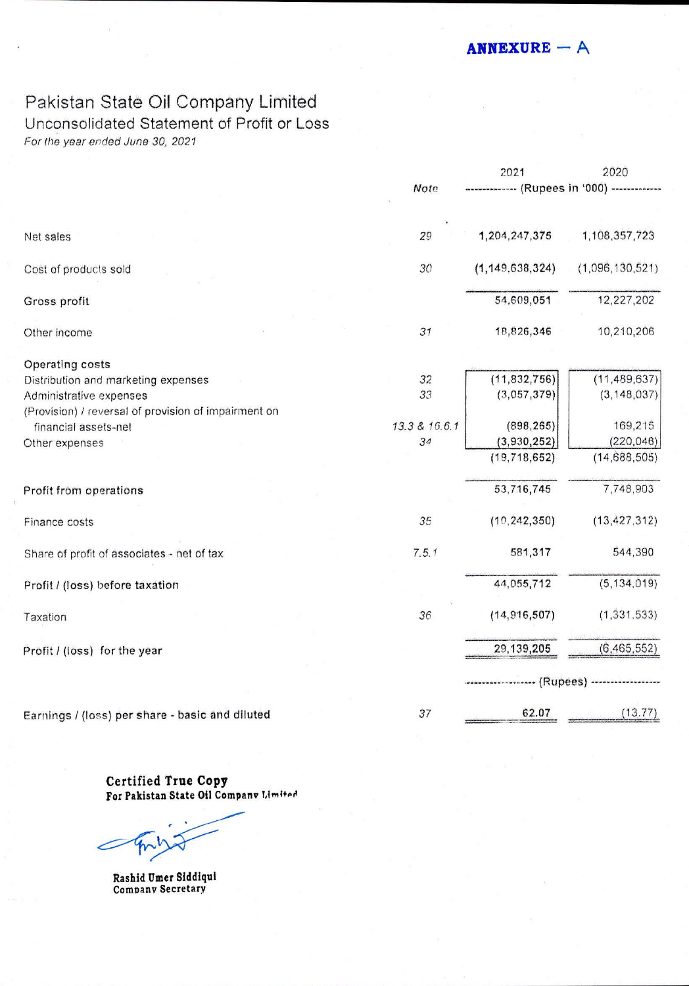$ANNEXURE - A$ 

# Pakistan State Oii Company Limited

### Unconsolidated Statement of Profit or Loss

*For the year ended June 30, 2021*

|                                                      |               | 2021                        | 2020            |
|------------------------------------------------------|---------------|-----------------------------|-----------------|
|                                                      | Note          | ----- (Rupees in '000) ---- |                 |
| Net sales                                            | 29            | 1,204,247,375               | 1,108,357,723   |
| Cost of products sold                                | 30            | (1, 149, 638, 324)          | (1,096,130,521) |
| Gross profit                                         |               | 54,609,051                  | 12,227,202      |
| Other income                                         | 31            | 18,826,346                  | 10,210,206      |
| Operating costs                                      |               |                             |                 |
| Distribution and marketing expenses                  | 32            | (11, 832, 756)              | (11, 489, 637)  |
| Administrative expenses                              | 33            | (3,057,379)                 | (3, 148, 037)   |
| (Provision) / reversal of provision of impairment on |               |                             |                 |
| financial assets-net                                 | 13.3 & 16.6.1 | (898, 265)                  | 169,215         |
| Other expenses                                       | 34            | (3,930,252)                 | (220, 046)      |
|                                                      |               | (19, 718, 652)              | (14,688,505)    |
| Profit from operations                               |               | 53,716,745                  | 7,748,903       |
| Finance costs                                        | 35            | (10, 242, 350)              | (13, 427, 312)  |
| Share of profit of associates - net of tax           | 7.5.1         | 581,317                     | 544,390         |
| Profit / (loss) before taxation                      |               | 44,055,712                  | (5, 134, 019)   |
| Taxation                                             | 36            | (14, 916, 507)              | (1, 331, 533)   |
| Profit / (loss) for the year                         |               | 29, 139, 205                | (6, 465, 552)   |
|                                                      |               | -- (Rupees) -----           |                 |
| Earnings / (loss) per share - basic and diluted      | 37            | 62.07                       | (13.77)         |

Certified True Copy **For Pakistan State Oil Company Limited** 

**Rashid Umer Siddiqui** Company Secretary